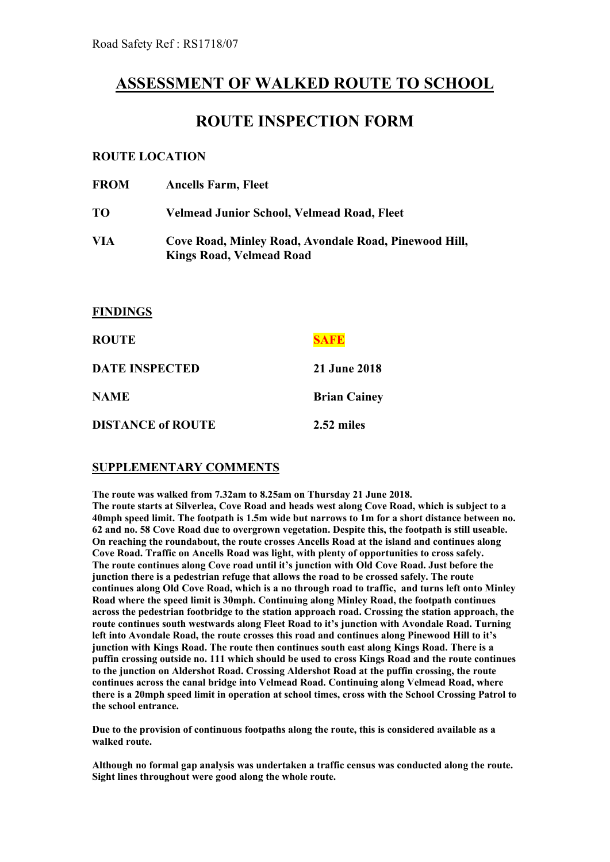# **ASSESSMENT OF WALKED ROUTE TO SCHOOL**

# **ROUTE INSPECTION FORM**

### **ROUTE LOCATION**

**FINDINGS**

| <b>FROM</b> | <b>Ancells Farm, Fleet</b>                                                               |
|-------------|------------------------------------------------------------------------------------------|
| <b>TO</b>   | Velmead Junior School, Velmead Road, Fleet                                               |
| VIA         | Cove Road, Minley Road, Avondale Road, Pinewood Hill,<br><b>Kings Road, Velmead Road</b> |

| <b>ROUTE</b>             |                     |
|--------------------------|---------------------|
| <b>DATE INSPECTED</b>    | <b>21 June 2018</b> |
| <b>NAME</b>              | <b>Brian Cainey</b> |
| <b>DISTANCE of ROUTE</b> | 2.52 miles          |

### **SUPPLEMENTARY COMMENTS**

**The route was walked from 7.32am to 8.25am on Thursday 21 June 2018. The route starts at Silverlea, Cove Road and heads west along Cove Road, which is subject to a 40mph speed limit. The footpath is 1.5m wide but narrows to 1m for a short distance between no. 62 and no. 58 Cove Road due to overgrown vegetation. Despite this, the footpath is still useable. On reaching the roundabout, the route crosses Ancells Road at the island and continues along Cove Road. Traffic on Ancells Road was light, with plenty of opportunities to cross safely. The route continues along Cove road until it's junction with Old Cove Road. Just before the junction there is a pedestrian refuge that allows the road to be crossed safely. The route continues along Old Cove Road, which is a no through road to traffic, and turns left onto Minley Road where the speed limit is 30mph. Continuing along Minley Road, the footpath continues across the pedestrian footbridge to the station approach road. Crossing the station approach, the route continues south westwards along Fleet Road to it's junction with Avondale Road. Turning left into Avondale Road, the route crosses this road and continues along Pinewood Hill to it's junction with Kings Road. The route then continues south east along Kings Road. There is a puffin crossing outside no. 111 which should be used to cross Kings Road and the route continues to the junction on Aldershot Road. Crossing Aldershot Road at the puffin crossing, the route continues across the canal bridge into Velmead Road. Continuing along Velmead Road, where** there is a 20mph speed limit in operation at school times, cross with the School Crossing Patrol to **the school entrance.**

**Due to the provision of continuous footpaths along the route, this is considered available as a walked route.**

**Although no formal gap analysis was undertaken a traffic census was conducted along the route. Sight lines throughout were good along the whole route.**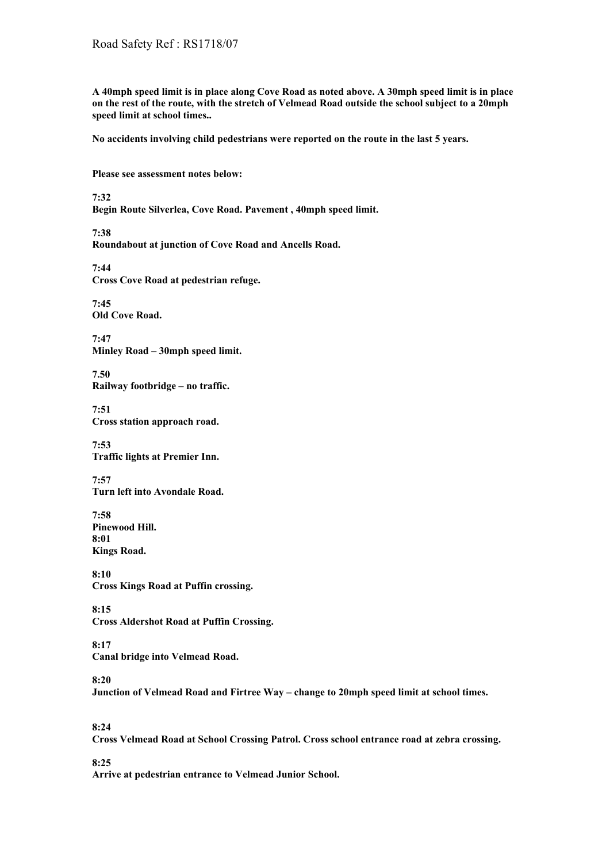A 40mph speed limit is in place along Cove Road as noted above. A 30mph speed limit is in place on the rest of the route, with the stretch of Velmead Road outside the school subject to a 20mph **speed limit at school times..**

**No accidents involving child pedestrians were reported on the route in the last 5 years.**

#### **Please see assessment notes below:**

**7:32**

**Begin Route Silverlea, Cove Road. Pavement , 40mph speed limit.**

**7:38**

**Roundabout at junction of Cove Road and Ancells Road.**

**7:44 Cross Cove Road at pedestrian refuge.**

**7:45 Old Cove Road.**

**7:47 Minley Road – 30mph speed limit.**

**7.50 Railway footbridge – no traffic.**

**7:51 Cross station approach road.**

**7:53 Traffic lights at Premier Inn.**

**7:57 Turn left into Avondale Road.**

**7:58 Pinewood Hill. 8:01 Kings Road.**

**8:10 Cross Kings Road at Puffin crossing.**

**8:15**

**Cross Aldershot Road at Puffin Crossing.**

**8:17 Canal bridge into Velmead Road.**

#### **8:20**

**Junction of Velmead Road and Firtree Way – change to 20mph speed limit at school times.**

**8:24**

**Cross Velmead Road at School Crossing Patrol. Cross school entrance road at zebra crossing.**

**8:25**

**Arrive at pedestrian entrance to Velmead Junior School.**